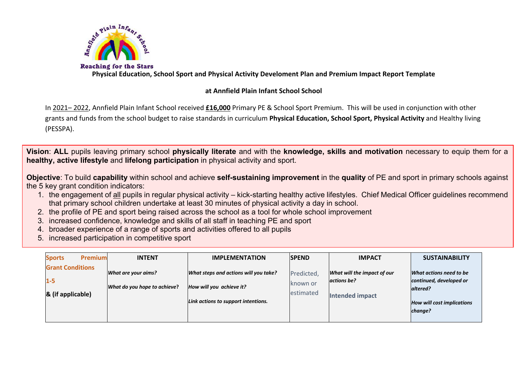

**Physical Education, School Sport and Physical Activity Develoment Plan and Premium Impact Report Template**

## **at Annfield Plain Infant School School**

In 2021– 2022, Annfield Plain Infant School received **£16,000** Primary PE & School Sport Premium. This will be used in conjunction with other grants and funds from the school budget to raise standards in curriculum **Physical Education, School Sport, Physical Activity** and Healthy living (PESSPA).

**Vision**: **ALL** pupils leaving primary school **physically literate** and with the **knowledge, skills and motivation** necessary to equip them for a **healthy, active lifestyle** and **lifelong participation** in physical activity and sport.

**Objective**: To build **capability** within school and achieve **self-sustaining improvement** in the **quality** of PE and sport in primary schools against the 5 key grant condition indicators:

- 1. the engagement of all pupils in regular physical activity kick-starting healthy active lifestyles. Chief Medical Officer guidelines recommend that primary school children undertake at least 30 minutes of physical activity a day in school.
- 2. the profile of PE and sport being raised across the school as a tool for whole school improvement
- 3. increased confidence, knowledge and skills of all staff in teaching PE and sport
- 4. broader experience of a range of sports and activities offered to all pupils
- 5. increased participation in competitive sport

| <b>Premium</b><br><b>Sports</b>                         | <b>INTENT</b>                                       | <b>IMPLEMENTATION</b>                                                                                    | <b>ISPEND</b>                       | <b>IMPACT</b>                                                        | <b>SUSTAINABILITY</b>                                                                                          |
|---------------------------------------------------------|-----------------------------------------------------|----------------------------------------------------------------------------------------------------------|-------------------------------------|----------------------------------------------------------------------|----------------------------------------------------------------------------------------------------------------|
| <b>Grant Conditions</b><br>$1 - 5$<br>& (if applicable) | What are your aims?<br>What do you hope to achieve? | What steps and actions will you take?<br>How will you achieve it?<br>Link actions to support intentions. | Predicted,<br>known or<br>estimated | What will the impact of our<br>actions be?<br><b>Intended impact</b> | What actions need to be<br>continued, developed or<br>altered?<br><b>How will cost implications</b><br>change? |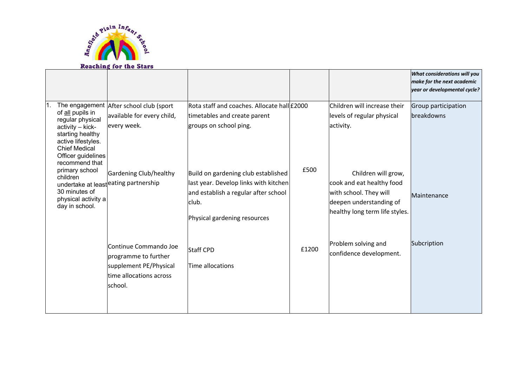

|     |                                                                                                                                                                    | Reaching for the Stars                                                                                        |                                                                                                                                                               |       |                                                                                                                                         |                                                                                            |
|-----|--------------------------------------------------------------------------------------------------------------------------------------------------------------------|---------------------------------------------------------------------------------------------------------------|---------------------------------------------------------------------------------------------------------------------------------------------------------------|-------|-----------------------------------------------------------------------------------------------------------------------------------------|--------------------------------------------------------------------------------------------|
|     |                                                                                                                                                                    |                                                                                                               |                                                                                                                                                               |       |                                                                                                                                         | What considerations will you<br>make for the next academic<br>year or developmental cycle? |
| Ⅰ1. | of all pupils in<br>regular physical<br>activity - kick-<br>starting healthy<br>active lifestyles.<br><b>Chief Medical</b><br>Officer guidelines<br>recommend that | The engagement After school club (sport<br>available for every child,<br>every week.                          | Rota staff and coaches. Allocate hall £2000<br>timetables and create parent<br>groups on school ping.                                                         |       | Children will increase their<br>levels of regular physical<br>activity.                                                                 | Group participation<br>breakdowns                                                          |
|     | primary school<br>children<br>30 minutes of<br>physical activity a<br>day in school.                                                                               | Gardening Club/healthy<br>undertake at least eating partnership                                               | Build on gardening club established<br>last year. Develop links with kitchen<br>and establish a regular after school<br>club.<br>Physical gardening resources | £500  | Children will grow,<br>cook and eat healthy food<br>with school. They will<br>deepen understanding of<br>healthy long term life styles. | Maintenance                                                                                |
|     |                                                                                                                                                                    | Continue Commando Joe<br>programme to further<br>supplement PE/Physical<br>time allocations across<br>school. | <b>Staff CPD</b><br>Time allocations                                                                                                                          | £1200 | Problem solving and<br>confidence development.                                                                                          | Subcription                                                                                |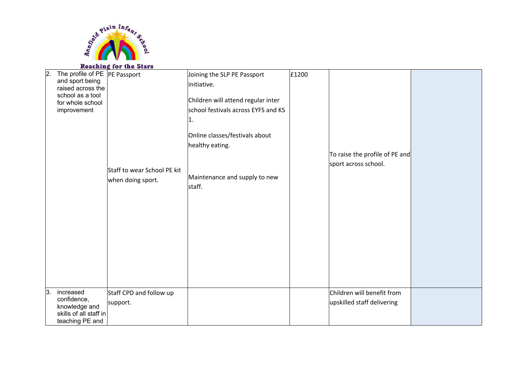

## **Reaching for the Stars**

| 2. | The profile of PE PE Passport<br>and sport being<br>raised across the<br>school as a tool<br>for whole school<br>improvement | Staff to wear School PE kit<br>when doing sport. | Joining the SLP PE Passport<br>initiative.<br>Children will attend regular inter<br>school festivals across EYFS and KS<br>1.<br>Online classes/festivals about<br>healthy eating.<br>Maintenance and supply to new<br>staff. | £1200 | To raise the profile of PE and<br>sport across school.   |  |
|----|------------------------------------------------------------------------------------------------------------------------------|--------------------------------------------------|-------------------------------------------------------------------------------------------------------------------------------------------------------------------------------------------------------------------------------|-------|----------------------------------------------------------|--|
| 3. | increased<br>confidence,<br>knowledge and<br>skills of all staff in<br>teaching PE and                                       | Staff CPD and follow up<br>support.              |                                                                                                                                                                                                                               |       | Children will benefit from<br>upskilled staff delivering |  |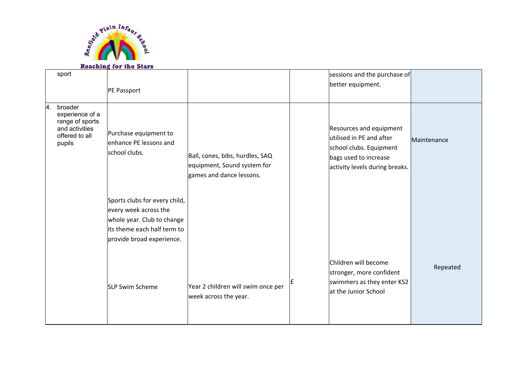

## **Reaching for the Stars**

|                | sport                                                                                       | PE Passport                                                                                                                                      |                                                                                            |    | sessions and the purchase of<br>better equipment.                                                                                         |             |
|----------------|---------------------------------------------------------------------------------------------|--------------------------------------------------------------------------------------------------------------------------------------------------|--------------------------------------------------------------------------------------------|----|-------------------------------------------------------------------------------------------------------------------------------------------|-------------|
| $\overline{4}$ | broader<br>experience of a<br>range of sports<br>and activities<br>offered to all<br>pupils | Purchase equipment to<br>enhance PE lessons and<br>school clubs.                                                                                 | Ball, cones, bibs, hurdles, SAQ<br>equipment, Sound system for<br>games and dance lessons. |    | Resources and equipment<br>utilised in PE and after<br>school clubs. Equipment<br>bags used to increase<br>activity levels during breaks. | Maintenance |
|                |                                                                                             | Sports clubs for every child,<br>every week across the<br>whole year. Club to change<br>its theme each half term to<br>provide broad experience. |                                                                                            |    |                                                                                                                                           |             |
|                |                                                                                             | <b>SLP Swim Scheme</b>                                                                                                                           | Year 2 children will swim once per<br>week across the year.                                | ١£ | Children will become<br>stronger, more confident<br>swimmers as they enter KS2<br>at the Junior School                                    | Repeated    |